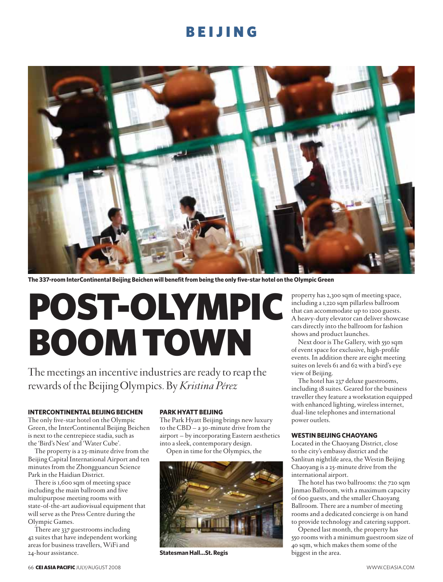

**The 337-room InterContinental Beijing Beichen will benefit from being the only five-star hotel on the Olympic Green**

# POST-OLYMPIC BOOM TOWN

The meetings an incentive industries are ready to reap the rewards of the Beijing Olympics. By *Kristina Pérez*

#### **INTERCONTINENTAL BEIJING BEICHEN**

The only five-star hotel on the Olympic Green, the InterContinental Beijing Beichen is next to the centrepiece stadia, such as the 'Bird's Nest' and 'Water Cube'.

The property is a 25-minute drive from the Beijing Capital International Airport and ten minutes from the Zhongguancun Science Park in the Haidian District.

There is 1,600 sqm of meeting space including the main ballroom and five multipurpose meeting rooms with state-of-the-art audiovisual equipment that will serve as the Press Centre during the Olympic Games.

There are 337 guestrooms including 42 suites that have independent working areas for business travellers, WiFi and 24-hour assistance.

#### **PARK HYATT BEIJING**

The Park Hyatt Beijing brings new luxury to the CBD – a 30-minute drive from the airport – by incorporating Eastern aesthetics into a sleek, contemporary design.

Open in time for the Olympics, the



**Statesman Hall…St. Regis**

property has 2,300 sqm of meeting space, including a 1,220 sqm pillarless ballroom that can accommodate up to 1200 guests. A heavy-duty elevator can deliver showcase cars directly into the ballroom for fashion shows and product launches.

Next door is The Gallery, with 550 sqm of event space for exclusive, high-profile events. In addition there are eight meeting suites on levels 61 and 62 with a bird's eye view of Beijing.

The hotel has 237 deluxe guestrooms, including 18 suites. Geared for the business traveller they feature a workstation equipped with enhanced lighting, wireless internet, dual-line telephones and international power outlets.

#### **WESTIN BEIJING CHAOYANG**

Located in the Chaoyang District, close to the city's embassy district and the Sanlitun nightlife area, the Westin Beijing Chaoyang is a 25-minute drive from the international airport.

The hotel has two ballrooms: the 720 sqm Jinmao Ballroom, with a maximum capacity of 600 guests, and the smaller Chaoyang Ballroom. There are a number of meeting rooms and a dedicated concierge is on hand to provide technology and catering support.

Opened last month, the property has 550 rooms with a minimum guestroom size of 40 sqm, which makes them some of the biggest in the area.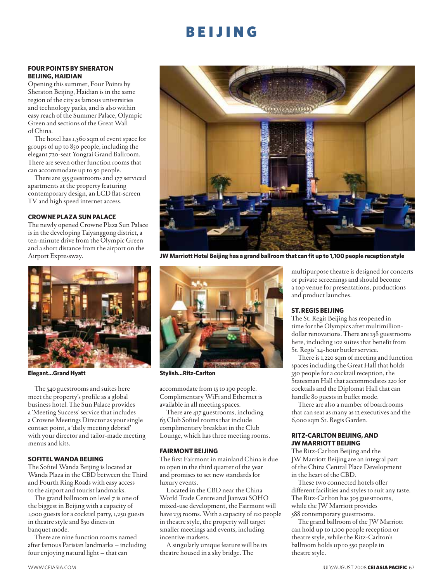#### **FOUR POINTS BY SHERATON BEIJING, HAIDIAN**

Opening this summer, Four Points by Sheraton Beijing, Haidian is in the same region of the city as famous universities and technology parks, and is also within easy reach of the Summer Palace, Olympic Green and sections of the Great Wall of China.

The hotel has 1,560 sqm of event space for groups of up to 850 people, including the elegant 720-seat Yongtai Grand Ballroom. There are seven other function rooms that can accommodate up to 50 people.

There are 355 guestrooms and 177 serviced apartments at the property featuring contemporary design, an LCD flat-screen TV and high speed internet access.

#### **CROWNE PLAZA SUN PALACE**

The newly opened Crowne Plaza Sun Palace is in the developing Taiyanggong district, a ten-minute drive from the Olympic Green and a short distance from the airport on the Airport Expressway.



**Elegant…Grand Hyatt Stylish…Ritz-Carlton**

The 540 guestrooms and suites here meet the property's profile as a global business hotel. The Sun Palace provides a 'Meeting Success' service that includes a Crowne Meetings Director as your single contact point, a 'daily meeting debrief' with your director and tailor-made meeting menus and kits.

#### **SOFITEL WANDA BEIJING**

The Sofitel Wanda Beijing is located at Wanda Plaza in the CBD between the Third and Fourth Ring Roads with easy access to the airport and tourist landmarks.

The grand ballroom on level 7 is one of the biggest in Beijing with a capacity of 1,000 guests for a cocktail party, 1,250 guests in theatre style and 850 diners in banquet mode.

There are nine function rooms named after famous Parisian landmarks – including four enjoying natural light – that can



**JW Marriott Hotel Beijing has a grand ballroom that can fit up to 1,100 people reception style**



accommodate from 15 to 190 people. Complimentary WiFi and Ethernet is available in all meeting spaces.

There are 417 guestrooms, including 63 Club Sofitel rooms that include complimentary breakfast in the Club Lounge, which has three meeting rooms.

#### **FAIRMONT BEIJING**

The first Fairmont in mainland China is due to open in the third quarter of the year and promises to set new standards for luxury events.

Located in the CBD near the China World Trade Centre and Jianwai SOHO mixed-use development, the Fairmont will have 235 rooms. With a capacity of 120 people in theatre style, the property will target smaller meetings and events, including incentive markets.

A singularly unique feature will be its theatre housed in a sky bridge. The

multipurpose theatre is designed for concerts or private screenings and should become a top venue for presentations, productions and product launches.

#### **ST. REGIS BEIJING**

The St. Regis Beijing has reopened in time for the Olympics after multimilliondollar renovations. There are 258 guestrooms here, including 102 suites that benefit from St. Regis' 24-hour butler service.

There is 1,220 sqm of meeting and function spaces including the Great Hall that holds 350 people for a cocktail reception, the Statesman Hall that accommodates 220 for cocktails and the Diplomat Hall that can handle 80 guests in buffet mode.

There are also a number of boardrooms that can seat as many as 12 executives and the 6,000 sqm St. Regis Garden.

#### **RITZ-CARLTON BEIJING, AND JW MARRIOTT BEIJING**

The Ritz-Carlton Beijing and the JW Marriott Beijing are an integral part of the China Central Place Development in the heart of the CBD.

These two connected hotels offer different facilities and styles to suit any taste. The Ritz-Carlton has 305 guestrooms, while the JW Marriott provides 588 contemporary guestrooms.

The grand ballroom of the JW Marriott can hold up to 1,100 people reception or theatre style, while the Ritz-Carlton's ballroom holds up to 550 people in theatre style.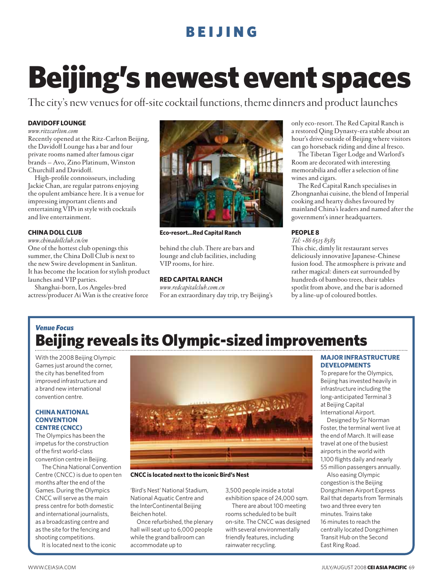## Beijing's newest event spaces

The city's new venues for off-site cocktail functions, theme dinners and product launches

#### **DAVIDOFF LOUNGE**

*www.ritzcarlton.com*

Recently opened at the Ritz-Carlton Beijing, the Davidoff Lounge has a bar and four private rooms named after famous cigar brands – Avo, Zino Platinum, Winston Churchill and Davidoff.

High-profile connoisseurs, including Jackie Chan, are regular patrons enjoying the opulent ambiance here. It is a venue for impressing important clients and entertaining VIPs in style with cocktails and live entertainment.

#### **CHINA DOLL CLUB**

*www.chinadollclub.cn/en*

One of the hottest club openings this summer, the China Doll Club is next to the new Swire development in Sanlitun. It has become the location for stylish product launches and VIP parties.

Shanghai-born, Los Angeles-bred actress/producer Ai Wan is the creative force



**Eco-resort…Red Capital Ranch**

behind the club. There are bars and lounge and club facilities, including VIP rooms, for hire.

#### **RED CAPITAL RANCH**

*www.redcapitalclub.com.cn* For an extraordinary day trip, try Beijing's only eco-resort. The Red Capital Ranch is a restored Qing Dynasty-era stable about an hour's drive outside of Beijing where visitors can go horseback riding and dine al fresco.

The Tibetan Tiger Lodge and Warlord's Room are decorated with interesting memorabilia and offer a selection of fine wines and cigars.

The Red Capital Ranch specialises in Zhongnanhai cuisine, the blend of Imperial cooking and hearty dishes favoured by mainland China's leaders and named after the government's inner headquarters.

#### **PEOPLE 8**

*Tel: +86 6515 8585*

This chic, dimly lit restaurant serves deliciously innovative Japanese-Chinese fusion food. The atmosphere is private and rather magical: diners eat surrounded by hundreds of bamboo trees, their tables spotlit from above, and the bar is adorned by a line-up of coloured bottles.

### Beijing reveals its Olympic-sized improvements *Venue Focus*

With the 2008 Beijing Olympic Games just around the corner, the city has benefited from improved infrastructure and a brand new international convention centre.

#### **CHINA NATIONAL CONVENTION CENTRE (CNCC)**

The Olympics has been the impetus for the construction of the first world-class convention centre in Beijing.

The China National Convention Centre (CNCC) is due to open ten months after the end of the Games. During the Olympics CNCC will serve as the main press centre for both domestic and international journalists, as a broadcasting centre and as the site for the fencing and shooting competitions.

It is located next to the iconic



**CNCC is located next to the iconic Bird's Nest**

'Bird's Nest' National Stadium, National Aquatic Centre and the InterContinental Beijing Beichen hotel.

Once refurbished, the plenary hall will seat up to 6,000 people while the grand ballroom can accommodate up to

3,500 people inside a total exhibition space of 24,000 sqm.

There are about 100 meeting rooms scheduled to be built on-site. The CNCC was designed with several environmentally friendly features, including rainwater recycling.

#### **MAJOR INFRASTRUCTURE DEVELOPMENTS**

To prepare for the Olympics, Beijing has invested heavily in infrastructure including the long-anticipated Terminal 3 at Beijing Capital International Airport.

Designed by Sir Norman Foster, the terminal went live at the end of March. It will ease travel at one of the busiest airports in the world with 1,100 flights daily and nearly 55 million passengers annually.

Also easing Olympic congestion is the Beijing Dongzhimen Airport Express Rail that departs from Terminals two and three every ten minutes. Trains take 16 minutes to reach the centrally located Dongzhimen Transit Hub on the Second East Ring Road.